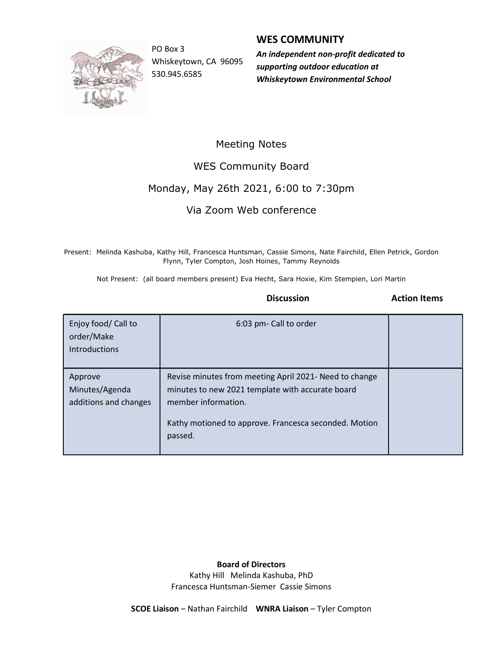

Whiskeytown, CA 96095 530.945.6585

#### WES COMMUNITY

PO Box 3 **An independent non-profit dedicated to An** supporting outdoor education at Whiskeytown Environmental School

### Meeting Notes

WES Community Board

# Monday, May 26th 2021, 6:00 to 7:30pm

# Via Zoom Web conference

 Present: Melinda Kashuba, Kathy Hill, Francesca Huntsman, Cassie Simons, Nate Fairchild, Ellen Petrick, Gordon Flynn, Tyler Compton, Josh Hoines, Tammy Reynolds

Not Present: (all board members present) Eva Hecht, Sara Hoxie, Kim Stempien, Lori Martin

Discussion **Action** Items

| Enjoy food/ Call to<br>order/Make<br>Introductions | 6:03 pm- Call to order                                                                                                                                                                                |  |
|----------------------------------------------------|-------------------------------------------------------------------------------------------------------------------------------------------------------------------------------------------------------|--|
| Approve<br>Minutes/Agenda<br>additions and changes | Revise minutes from meeting April 2021- Need to change<br>minutes to new 2021 template with accurate board<br>member information.<br>Kathy motioned to approve. Francesca seconded. Motion<br>passed. |  |

#### Board of Directors

Kathy Hill Melinda Kashuba, PhD Francesca Huntsman-Siemer Cassie Simons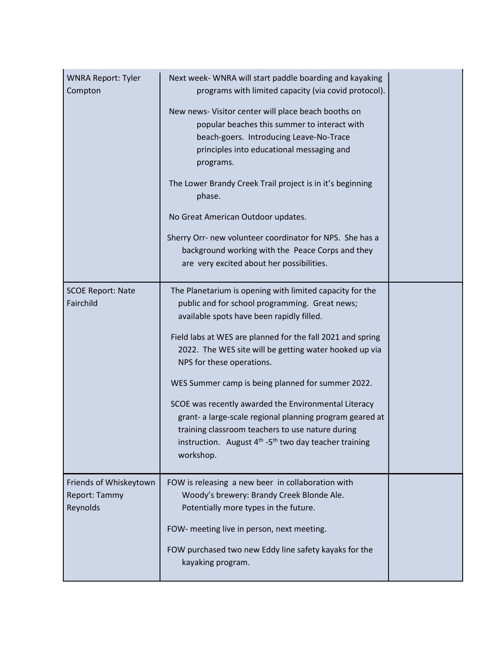| <b>WNRA Report: Tyler</b><br>Compton                | Next week- WNRA will start paddle boarding and kayaking<br>programs with limited capacity (via covid protocol).                                                                                                                              |  |
|-----------------------------------------------------|----------------------------------------------------------------------------------------------------------------------------------------------------------------------------------------------------------------------------------------------|--|
|                                                     | New news- Visitor center will place beach booths on<br>popular beaches this summer to interact with<br>beach-goers. Introducing Leave-No-Trace<br>principles into educational messaging and<br>programs.                                     |  |
|                                                     | The Lower Brandy Creek Trail project is in it's beginning<br>phase.                                                                                                                                                                          |  |
|                                                     | No Great American Outdoor updates.                                                                                                                                                                                                           |  |
|                                                     | Sherry Orr- new volunteer coordinator for NPS. She has a<br>background working with the Peace Corps and they<br>are very excited about her possibilities.                                                                                    |  |
| <b>SCOE Report: Nate</b><br>Fairchild               | The Planetarium is opening with limited capacity for the<br>public and for school programming. Great news;<br>available spots have been rapidly filled.                                                                                      |  |
|                                                     | Field labs at WES are planned for the fall 2021 and spring<br>2022. The WES site will be getting water hooked up via<br>NPS for these operations.                                                                                            |  |
|                                                     | WES Summer camp is being planned for summer 2022.                                                                                                                                                                                            |  |
|                                                     | SCOE was recently awarded the Environmental Literacy<br>grant- a large-scale regional planning program geared at<br>training classroom teachers to use nature during<br>instruction. August $4th -5th$ two day teacher training<br>workshop. |  |
| Friends of Whiskeytown<br>Report: Tammy<br>Reynolds | FOW is releasing a new beer in collaboration with<br>Woody's brewery: Brandy Creek Blonde Ale.<br>Potentially more types in the future.                                                                                                      |  |
|                                                     | FOW- meeting live in person, next meeting.                                                                                                                                                                                                   |  |
|                                                     | FOW purchased two new Eddy line safety kayaks for the<br>kayaking program.                                                                                                                                                                   |  |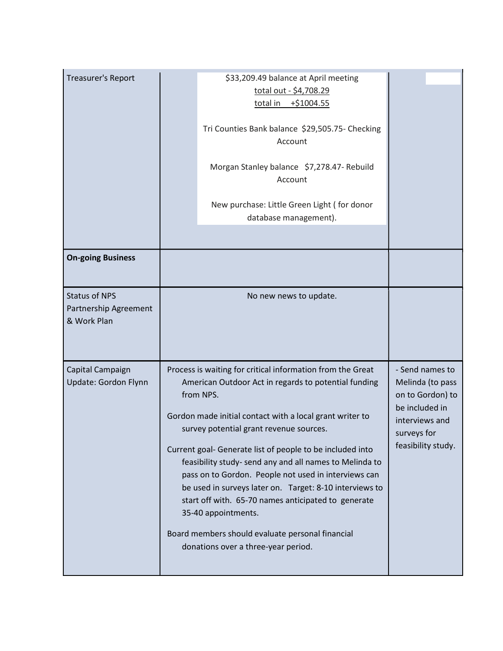| \$33,209.49 balance at April meeting<br>total out - \$4,708.29<br>total in +\$1004.55<br>Tri Counties Bank balance \$29,505.75- Checking<br>Account<br>Morgan Stanley balance \$7,278.47- Rebuild<br>Account<br>New purchase: Little Green Light (for donor<br>database management).<br>No new news to update.<br>Process is waiting for critical information from the Great<br>- Send names to<br>American Outdoor Act in regards to potential funding<br>Melinda (to pass<br>from NPS.<br>on to Gordon) to<br>be included in<br>Gordon made initial contact with a local grant writer to<br>interviews and<br>survey potential grant revenue sources.<br>surveys for<br>feasibility study.<br>Current goal- Generate list of people to be included into<br>feasibility study- send any and all names to Melinda to<br>pass on to Gordon. People not used in interviews can<br>be used in surveys later on. Target: 8-10 interviews to<br>start off with. 65-70 names anticipated to generate<br>35-40 appointments.<br>Board members should evaluate personal financial |                                                              |                                     |  |
|---------------------------------------------------------------------------------------------------------------------------------------------------------------------------------------------------------------------------------------------------------------------------------------------------------------------------------------------------------------------------------------------------------------------------------------------------------------------------------------------------------------------------------------------------------------------------------------------------------------------------------------------------------------------------------------------------------------------------------------------------------------------------------------------------------------------------------------------------------------------------------------------------------------------------------------------------------------------------------------------------------------------------------------------------------------------------|--------------------------------------------------------------|-------------------------------------|--|
|                                                                                                                                                                                                                                                                                                                                                                                                                                                                                                                                                                                                                                                                                                                                                                                                                                                                                                                                                                                                                                                                           | <b>Treasurer's Report</b>                                    |                                     |  |
|                                                                                                                                                                                                                                                                                                                                                                                                                                                                                                                                                                                                                                                                                                                                                                                                                                                                                                                                                                                                                                                                           |                                                              |                                     |  |
|                                                                                                                                                                                                                                                                                                                                                                                                                                                                                                                                                                                                                                                                                                                                                                                                                                                                                                                                                                                                                                                                           |                                                              |                                     |  |
|                                                                                                                                                                                                                                                                                                                                                                                                                                                                                                                                                                                                                                                                                                                                                                                                                                                                                                                                                                                                                                                                           |                                                              |                                     |  |
|                                                                                                                                                                                                                                                                                                                                                                                                                                                                                                                                                                                                                                                                                                                                                                                                                                                                                                                                                                                                                                                                           |                                                              |                                     |  |
|                                                                                                                                                                                                                                                                                                                                                                                                                                                                                                                                                                                                                                                                                                                                                                                                                                                                                                                                                                                                                                                                           |                                                              |                                     |  |
|                                                                                                                                                                                                                                                                                                                                                                                                                                                                                                                                                                                                                                                                                                                                                                                                                                                                                                                                                                                                                                                                           | <b>On-going Business</b>                                     |                                     |  |
|                                                                                                                                                                                                                                                                                                                                                                                                                                                                                                                                                                                                                                                                                                                                                                                                                                                                                                                                                                                                                                                                           | <b>Status of NPS</b><br>Partnership Agreement<br>& Work Plan |                                     |  |
|                                                                                                                                                                                                                                                                                                                                                                                                                                                                                                                                                                                                                                                                                                                                                                                                                                                                                                                                                                                                                                                                           | Capital Campaign<br>Update: Gordon Flynn                     |                                     |  |
|                                                                                                                                                                                                                                                                                                                                                                                                                                                                                                                                                                                                                                                                                                                                                                                                                                                                                                                                                                                                                                                                           |                                                              |                                     |  |
|                                                                                                                                                                                                                                                                                                                                                                                                                                                                                                                                                                                                                                                                                                                                                                                                                                                                                                                                                                                                                                                                           |                                                              | donations over a three-year period. |  |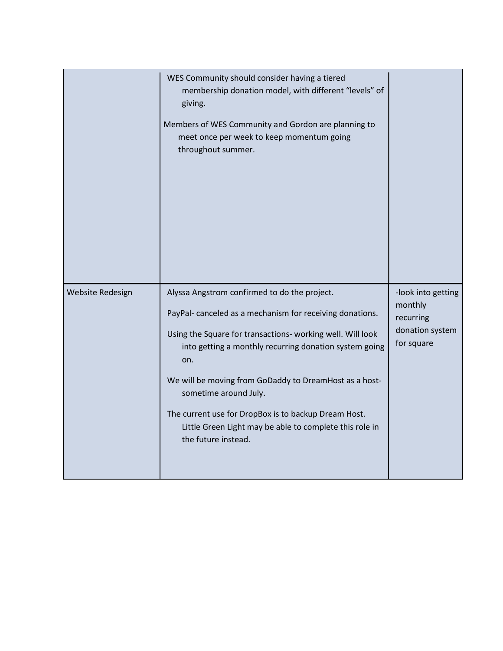|                  | WES Community should consider having a tiered<br>membership donation model, with different "levels" of<br>giving.<br>Members of WES Community and Gordon are planning to<br>meet once per week to keep momentum going<br>throughout summer.                                                                                                                                                                                                                         |                                                                             |  |
|------------------|---------------------------------------------------------------------------------------------------------------------------------------------------------------------------------------------------------------------------------------------------------------------------------------------------------------------------------------------------------------------------------------------------------------------------------------------------------------------|-----------------------------------------------------------------------------|--|
| Website Redesign | Alyssa Angstrom confirmed to do the project.<br>PayPal-canceled as a mechanism for receiving donations.<br>Using the Square for transactions- working well. Will look<br>into getting a monthly recurring donation system going<br>on.<br>We will be moving from GoDaddy to DreamHost as a host-<br>sometime around July.<br>The current use for DropBox is to backup Dream Host.<br>Little Green Light may be able to complete this role in<br>the future instead. | -look into getting<br>monthly<br>recurring<br>donation system<br>for square |  |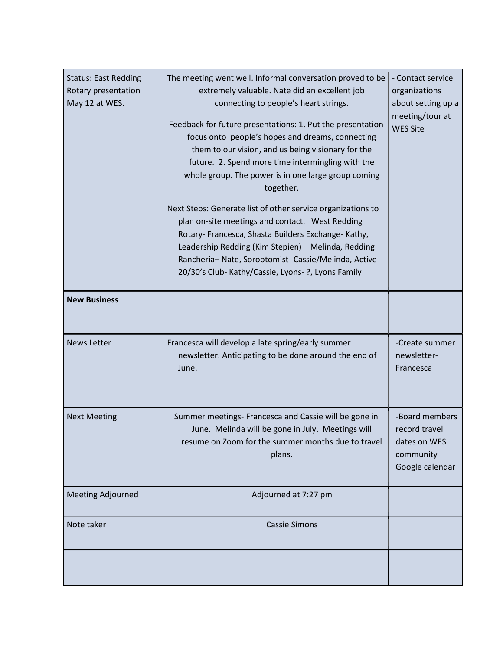| <b>Status: East Redding</b><br>Rotary presentation<br>May 12 at WES. | The meeting went well. Informal conversation proved to be<br>extremely valuable. Nate did an excellent job<br>connecting to people's heart strings.<br>Feedback for future presentations: 1. Put the presentation<br>focus onto people's hopes and dreams, connecting<br>them to our vision, and us being visionary for the<br>future. 2. Spend more time intermingling with the<br>whole group. The power is in one large group coming<br>together.<br>Next Steps: Generate list of other service organizations to<br>plan on-site meetings and contact. West Redding<br>Rotary- Francesca, Shasta Builders Exchange- Kathy,<br>Leadership Redding (Kim Stepien) - Melinda, Redding<br>Rancheria-Nate, Soroptomist-Cassie/Melinda, Active<br>20/30's Club- Kathy/Cassie, Lyons- ?, Lyons Family | - Contact service<br>organizations<br>about setting up a<br>meeting/tour at<br><b>WES Site</b> |
|----------------------------------------------------------------------|--------------------------------------------------------------------------------------------------------------------------------------------------------------------------------------------------------------------------------------------------------------------------------------------------------------------------------------------------------------------------------------------------------------------------------------------------------------------------------------------------------------------------------------------------------------------------------------------------------------------------------------------------------------------------------------------------------------------------------------------------------------------------------------------------|------------------------------------------------------------------------------------------------|
| <b>New Business</b>                                                  |                                                                                                                                                                                                                                                                                                                                                                                                                                                                                                                                                                                                                                                                                                                                                                                                  |                                                                                                |
| <b>News Letter</b>                                                   | Francesca will develop a late spring/early summer<br>newsletter. Anticipating to be done around the end of<br>June.                                                                                                                                                                                                                                                                                                                                                                                                                                                                                                                                                                                                                                                                              | -Create summer<br>newsletter-<br>Francesca                                                     |
| <b>Next Meeting</b>                                                  | Summer meetings- Francesca and Cassie will be gone in<br>June. Melinda will be gone in July. Meetings will<br>resume on Zoom for the summer months due to travel<br>plans.                                                                                                                                                                                                                                                                                                                                                                                                                                                                                                                                                                                                                       | -Board members<br>record travel<br>dates on WES<br>community<br>Google calendar                |
| <b>Meeting Adjourned</b>                                             | Adjourned at 7:27 pm                                                                                                                                                                                                                                                                                                                                                                                                                                                                                                                                                                                                                                                                                                                                                                             |                                                                                                |
| Note taker                                                           | <b>Cassie Simons</b>                                                                                                                                                                                                                                                                                                                                                                                                                                                                                                                                                                                                                                                                                                                                                                             |                                                                                                |
|                                                                      |                                                                                                                                                                                                                                                                                                                                                                                                                                                                                                                                                                                                                                                                                                                                                                                                  |                                                                                                |